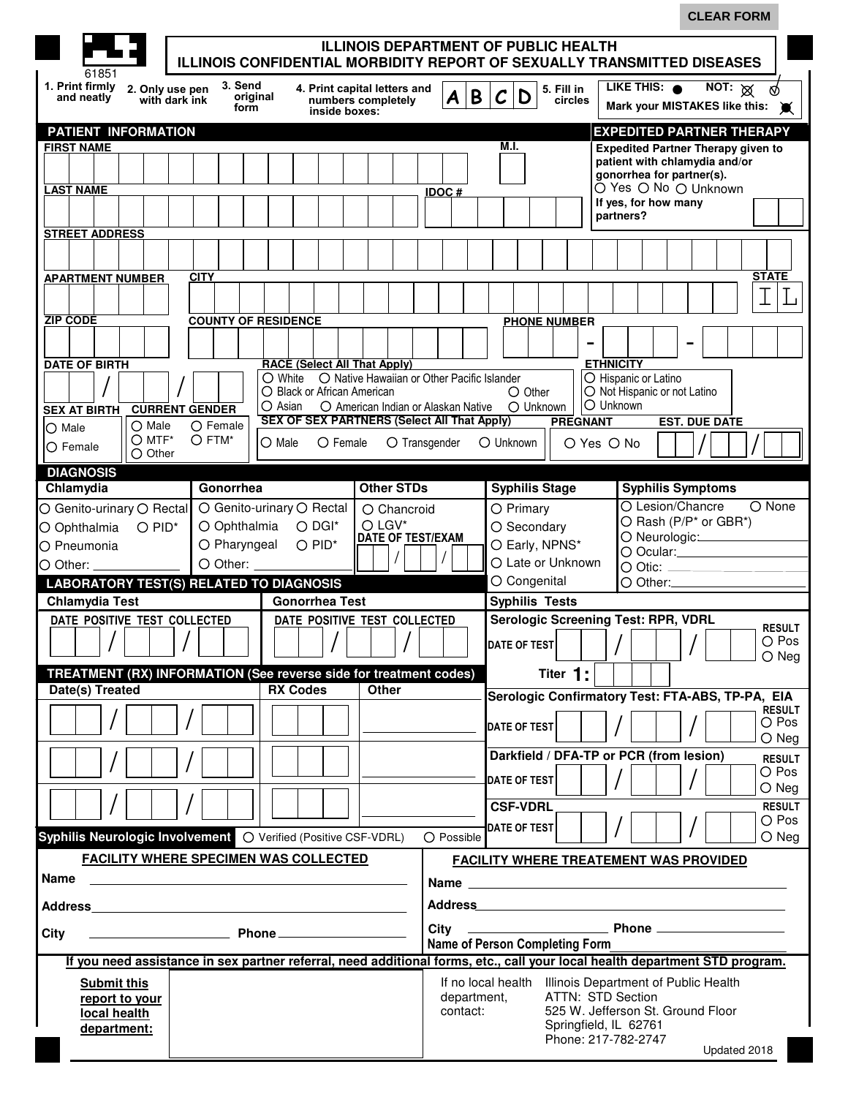|                                                                                                                             |                                |                                                                                                                                                                                                                                     |                                                    |               |                                |                          |                                                                                                                 | <b>CLEAR FORM</b>                |                                 |
|-----------------------------------------------------------------------------------------------------------------------------|--------------------------------|-------------------------------------------------------------------------------------------------------------------------------------------------------------------------------------------------------------------------------------|----------------------------------------------------|---------------|--------------------------------|--------------------------|-----------------------------------------------------------------------------------------------------------------|----------------------------------|---------------------------------|
|                                                                                                                             |                                |                                                                                                                                                                                                                                     | <b>ILLINOIS DEPARTMENT OF PUBLIC HEALTH</b>        |               |                                |                          |                                                                                                                 |                                  |                                 |
| 61851                                                                                                                       |                                | <b>ILLINOIS CONFIDENTIAL MORBIDITY REPORT OF SEXUALLY TRANSMITTED DISEASES</b>                                                                                                                                                      |                                                    |               |                                |                          |                                                                                                                 |                                  |                                 |
| 1. Print firmly<br>2. Only use pen<br>and neatly<br>with dark ink                                                           | 3. Send<br>original<br>form    | inside boxes:                                                                                                                                                                                                                       | 4. Print capital letters and<br>numbers completely | B<br>A        | $\mathcal{C}$<br>D             | 5. Fill in<br>circles    | LIKE THIS: <sup>O</sup><br>Mark your MISTAKES like this: W                                                      | NOT: $\otimes$                   |                                 |
| PATIENT INFORMATION                                                                                                         |                                |                                                                                                                                                                                                                                     |                                                    |               |                                |                          | <b>EXPEDITED PARTNER THERAPY</b>                                                                                |                                  |                                 |
| <b>FIRST NAME</b>                                                                                                           |                                |                                                                                                                                                                                                                                     |                                                    |               | M.I.                           |                          | <b>Expedited Partner Therapy given to</b>                                                                       |                                  |                                 |
|                                                                                                                             |                                |                                                                                                                                                                                                                                     |                                                    |               |                                |                          | patient with chlamydia and/or<br>gonorrhea for partner(s).                                                      |                                  |                                 |
| <b>LAST NAME</b>                                                                                                            |                                |                                                                                                                                                                                                                                     |                                                    | <b>IDOC#</b>  |                                |                          | Õ Yes ○ No ○ Unknown                                                                                            |                                  |                                 |
|                                                                                                                             |                                |                                                                                                                                                                                                                                     |                                                    |               |                                |                          | If yes, for how many<br>partners?                                                                               |                                  |                                 |
| <b>STREET ADDRESS</b>                                                                                                       |                                |                                                                                                                                                                                                                                     |                                                    |               |                                |                          |                                                                                                                 |                                  |                                 |
|                                                                                                                             |                                |                                                                                                                                                                                                                                     |                                                    |               |                                |                          |                                                                                                                 |                                  |                                 |
| <b>APARTMENT NUMBER</b>                                                                                                     | <b>CITY</b>                    |                                                                                                                                                                                                                                     |                                                    |               |                                |                          |                                                                                                                 |                                  | <b>STATE</b>                    |
|                                                                                                                             |                                |                                                                                                                                                                                                                                     |                                                    |               |                                |                          |                                                                                                                 |                                  |                                 |
| <b>ZIP CODE</b>                                                                                                             | <b>COUNTY OF RESIDENCE</b>     |                                                                                                                                                                                                                                     |                                                    |               |                                |                          |                                                                                                                 |                                  |                                 |
|                                                                                                                             |                                |                                                                                                                                                                                                                                     |                                                    |               |                                | <b>PHONE NUMBER</b>      |                                                                                                                 |                                  |                                 |
|                                                                                                                             |                                |                                                                                                                                                                                                                                     |                                                    |               |                                |                          |                                                                                                                 |                                  |                                 |
| <b>DATE OF BIRTH</b>                                                                                                        |                                | <b>RACE (Select All That Apply)</b><br>$\bigcirc$ White                                                                                                                                                                             | O Native Hawaiian or Other Pacific Islander        |               |                                |                          | <b>ETHNICITY</b><br>O Hispanic or Latino                                                                        |                                  |                                 |
|                                                                                                                             |                                | O Black or African American                                                                                                                                                                                                         |                                                    |               | $\bigcirc$ Other               |                          | O Not Hispanic or not Latino                                                                                    |                                  |                                 |
| <b>SEX AT BIRTH</b>                                                                                                         | <b>CURRENT GENDER</b>          | $\bigcirc$ Asian<br><b>SEX OF SEX PARTNERS (Select All That Apply)</b>                                                                                                                                                              | O American Indian or Alaskan Native                |               | O Unknown                      | <b>PREGNANT</b>          | O Unknown                                                                                                       | <b>EST. DUE DATE</b>             |                                 |
| $\bigcirc$ Male<br>$\bigcirc$ Male<br>$O$ MTF*                                                                              | O Female<br>$O$ FTM*           | $\bigcirc$ Male<br>$\bigcirc$ Female                                                                                                                                                                                                |                                                    | O Transgender | O Unknown                      |                          |                                                                                                                 |                                  |                                 |
| $\bigcirc$ Female<br>$\bigcirc$ Other                                                                                       |                                |                                                                                                                                                                                                                                     |                                                    |               |                                | $O$ Yes $O$ No           |                                                                                                                 |                                  |                                 |
| <b>DIAGNOSIS</b>                                                                                                            |                                |                                                                                                                                                                                                                                     |                                                    |               |                                |                          |                                                                                                                 |                                  |                                 |
| Chlamydia                                                                                                                   | Gonorrhea                      |                                                                                                                                                                                                                                     | <b>Other STDs</b>                                  |               | <b>Syphilis Stage</b>          |                          | <b>Syphilis Symptoms</b><br>O Lesion/Chancre                                                                    |                                  |                                 |
| O Genito-urinary O Rectal                                                                                                   |                                | ○ Genito-urinary ○ Rectal<br>$O$ DGI*                                                                                                                                                                                               | O Chancroid<br>$O$ LGV*                            |               | O Primary                      |                          |                                                                                                                 | O Rash (P/P* or GBR*)            | O None                          |
| $O PID^*$<br>O Ophthalmia<br>O Pneumonia                                                                                    | O Ophthalmia<br>$O$ Pharyngeal | $O$ PID*                                                                                                                                                                                                                            | <b>DATE OF TEST/EXAM</b>                           |               | O Secondary<br>O Early, NPNS*  |                          |                                                                                                                 | O Neurologic: <u>compared by</u> |                                 |
| $\bigcirc$ Other:                                                                                                           | O Other:                       |                                                                                                                                                                                                                                     |                                                    |               | O Late or Unknown              |                          |                                                                                                                 |                                  |                                 |
| <b>LABORATORY TEST(S) RELATED TO DIAGNOSIS</b>                                                                              |                                |                                                                                                                                                                                                                                     |                                                    |               | O Congenital                   |                          |                                                                                                                 |                                  |                                 |
| <b>Chlamydia Test</b>                                                                                                       |                                | <b>Gonorrhea Test</b>                                                                                                                                                                                                               |                                                    |               | <b>Syphilis Tests</b>          |                          |                                                                                                                 |                                  |                                 |
| DATE POSITIVE TEST COLLECTED                                                                                                |                                | DATE POSITIVE TEST COLLECTED                                                                                                                                                                                                        |                                                    |               |                                |                          | <b>Serologic Screening Test: RPR, VDRL</b>                                                                      |                                  | <b>RESULT</b>                   |
|                                                                                                                             |                                |                                                                                                                                                                                                                                     |                                                    |               | <b>DATE OF TEST</b>            |                          |                                                                                                                 |                                  | $\bigcirc$ Pos                  |
|                                                                                                                             |                                |                                                                                                                                                                                                                                     |                                                    |               |                                |                          |                                                                                                                 |                                  | $\bigcirc$ Neg                  |
| TREATMENT (RX) INFORMATION (See reverse side for treatment codes)<br>Date(s) Treated                                        |                                | <b>RX Codes</b>                                                                                                                                                                                                                     | Other                                              |               |                                | Titer 1:                 |                                                                                                                 |                                  |                                 |
|                                                                                                                             |                                |                                                                                                                                                                                                                                     |                                                    |               |                                |                          | Serologic Confirmatory Test: FTA-ABS, TP-PA, EIA                                                                |                                  | <b>RESULT</b>                   |
|                                                                                                                             |                                |                                                                                                                                                                                                                                     |                                                    |               | DATE OF TEST                   |                          |                                                                                                                 |                                  | $\bigcirc$ Pos                  |
|                                                                                                                             |                                |                                                                                                                                                                                                                                     |                                                    |               |                                |                          |                                                                                                                 |                                  | $\bigcirc$ Neg                  |
|                                                                                                                             |                                |                                                                                                                                                                                                                                     |                                                    |               |                                |                          | Darkfield / DFA-TP or PCR (from lesion)                                                                         |                                  | <b>RESULT</b><br>$\bigcirc$ Pos |
|                                                                                                                             |                                |                                                                                                                                                                                                                                     |                                                    |               | <b>DATE OF TEST</b>            |                          |                                                                                                                 |                                  | $\bigcirc$ Neg                  |
|                                                                                                                             |                                |                                                                                                                                                                                                                                     |                                                    |               | <b>CSF-VDRL</b>                |                          |                                                                                                                 |                                  | <b>RESULT</b>                   |
|                                                                                                                             |                                |                                                                                                                                                                                                                                     |                                                    |               | DATE OF TEST                   |                          |                                                                                                                 |                                  | $\bigcirc$ Pos                  |
| Syphilis Neurologic Involvement   O Verified (Positive CSF-VDRL)                                                            |                                |                                                                                                                                                                                                                                     |                                                    | O Possible    |                                |                          |                                                                                                                 |                                  | $\bigcirc$ Neg                  |
| <b>FACILITY WHERE SPECIMEN WAS COLLECTED</b>                                                                                |                                |                                                                                                                                                                                                                                     |                                                    |               |                                |                          | <b>FACILITY WHERE TREATEMENT WAS PROVIDED</b>                                                                   |                                  |                                 |
| Name                                                                                                                        |                                |                                                                                                                                                                                                                                     |                                                    |               |                                |                          |                                                                                                                 |                                  |                                 |
| Address and the contract of the contract of the contract of the contract of the contract of the contract of the             |                                |                                                                                                                                                                                                                                     |                                                    |               |                                |                          | Address and the contract of the contract of the contract of the contract of the contract of the contract of the |                                  |                                 |
| City                                                                                                                        |                                | <u>Phone Communications</u> Phone Communications Phone Communications and the set of the set of the set of the set of the set of the set of the set of the set of the set of the set of the set of the set of the set of the set of |                                                    | City          |                                |                          |                                                                                                                 |                                  |                                 |
|                                                                                                                             |                                |                                                                                                                                                                                                                                     |                                                    |               | Name of Person Completing Form |                          |                                                                                                                 |                                  |                                 |
| If you need assistance in sex partner referral, need additional forms, etc., call your local health department STD program. |                                |                                                                                                                                                                                                                                     |                                                    |               |                                |                          |                                                                                                                 |                                  |                                 |
| <b>Submit this</b>                                                                                                          |                                |                                                                                                                                                                                                                                     |                                                    | department,   |                                | <b>ATTN: STD Section</b> | If no local health Illinois Department of Public Health                                                         |                                  |                                 |
| report to your<br>local health                                                                                              |                                |                                                                                                                                                                                                                                     |                                                    | contact:      |                                |                          | 525 W. Jefferson St. Ground Floor                                                                               |                                  |                                 |
| department:                                                                                                                 |                                |                                                                                                                                                                                                                                     |                                                    |               |                                | Springfield, IL 62761    |                                                                                                                 |                                  |                                 |
|                                                                                                                             |                                |                                                                                                                                                                                                                                     |                                                    |               |                                |                          | Phone: 217-782-2747                                                                                             | Updated 2018                     |                                 |